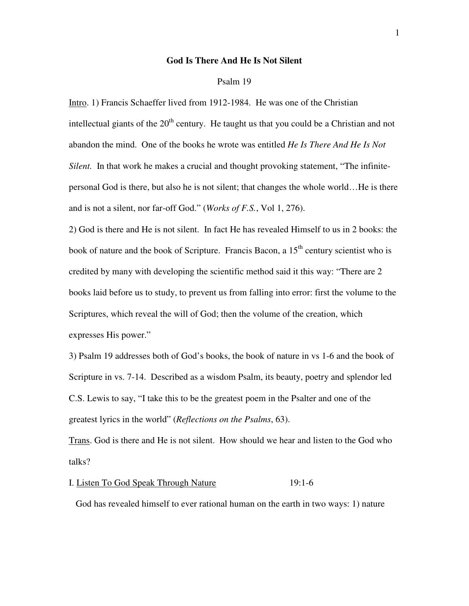## **God Is There And He Is Not Silent**

#### Psalm 19

Intro. 1) Francis Schaeffer lived from 1912-1984. He was one of the Christian intellectual giants of the  $20<sup>th</sup>$  century. He taught us that you could be a Christian and not abandon the mind. One of the books he wrote was entitled *He Is There And He Is Not Silent.* In that work he makes a crucial and thought provoking statement, "The infinitepersonal God is there, but also he is not silent; that changes the whole world…He is there and is not a silent, nor far-off God." (*Works of F.S.*, Vol 1, 276).

2) God is there and He is not silent. In fact He has revealed Himself to us in 2 books: the book of nature and the book of Scripture. Francis Bacon, a  $15<sup>th</sup>$  century scientist who is credited by many with developing the scientific method said it this way: "There are 2 books laid before us to study, to prevent us from falling into error: first the volume to the Scriptures, which reveal the will of God; then the volume of the creation, which expresses His power."

3) Psalm 19 addresses both of God's books, the book of nature in vs 1-6 and the book of Scripture in vs. 7-14. Described as a wisdom Psalm, its beauty, poetry and splendor led C.S. Lewis to say, "I take this to be the greatest poem in the Psalter and one of the greatest lyrics in the world" (*Reflections on the Psalms*, 63).

Trans. God is there and He is not silent. How should we hear and listen to the God who talks?

#### I. Listen To God Speak Through Nature 19:1-6

God has revealed himself to ever rational human on the earth in two ways: 1) nature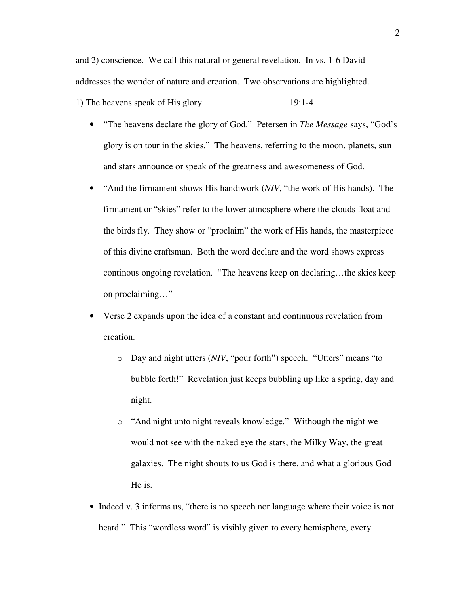and 2) conscience. We call this natural or general revelation. In vs. 1-6 David addresses the wonder of nature and creation. Two observations are highlighted.

1) The heavens speak of His glory 19:1-4

- "The heavens declare the glory of God." Petersen in *The Message* says, "God's glory is on tour in the skies." The heavens, referring to the moon, planets, sun and stars announce or speak of the greatness and awesomeness of God.
- "And the firmament shows His handiwork (*NIV*, "the work of His hands). The firmament or "skies" refer to the lower atmosphere where the clouds float and the birds fly. They show or "proclaim" the work of His hands, the masterpiece of this divine craftsman. Both the word declare and the word shows express continous ongoing revelation. "The heavens keep on declaring…the skies keep on proclaiming…"
- Verse 2 expands upon the idea of a constant and continuous revelation from creation.
	- o Day and night utters (*NIV*, "pour forth") speech. "Utters" means "to bubble forth!" Revelation just keeps bubbling up like a spring, day and night.
	- o "And night unto night reveals knowledge." Withough the night we would not see with the naked eye the stars, the Milky Way, the great galaxies. The night shouts to us God is there, and what a glorious God He is.
- Indeed v. 3 informs us, "there is no speech nor language where their voice is not heard." This "wordless word" is visibly given to every hemisphere, every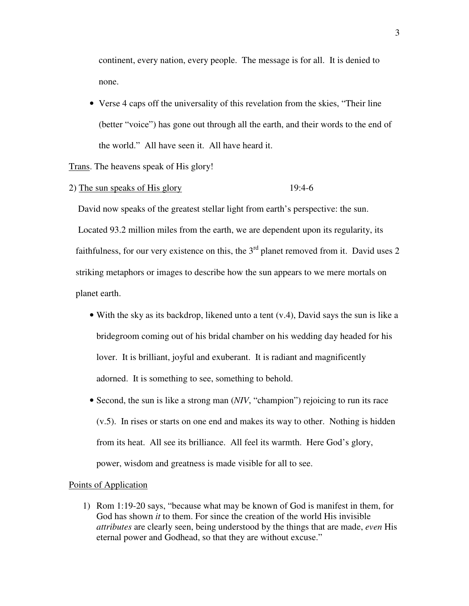continent, every nation, every people. The message is for all. It is denied to none.

• Verse 4 caps off the universality of this revelation from the skies, "Their line" (better "voice") has gone out through all the earth, and their words to the end of the world." All have seen it. All have heard it.

# Trans. The heavens speak of His glory!

2) The sun speaks of His glory 19:4-6

 David now speaks of the greatest stellar light from earth's perspective: the sun. Located 93.2 million miles from the earth, we are dependent upon its regularity, its faithfulness, for our very existence on this, the  $3<sup>rd</sup>$  planet removed from it. David uses 2 striking metaphors or images to describe how the sun appears to we mere mortals on planet earth.

- With the sky as its backdrop, likened unto a tent (v.4), David says the sun is like a bridegroom coming out of his bridal chamber on his wedding day headed for his lover. It is brilliant, joyful and exuberant. It is radiant and magnificently adorned. It is something to see, something to behold.
- Second, the sun is like a strong man (*NIV*, "champion") rejoicing to run its race (v.5). In rises or starts on one end and makes its way to other. Nothing is hidden from its heat. All see its brilliance. All feel its warmth. Here God's glory, power, wisdom and greatness is made visible for all to see.

## Points of Application

1) Rom 1:19-20 says, "because what may be known of God is manifest in them, for God has shown *it* to them. For since the creation of the world His invisible *attributes* are clearly seen, being understood by the things that are made, *even* His eternal power and Godhead, so that they are without excuse."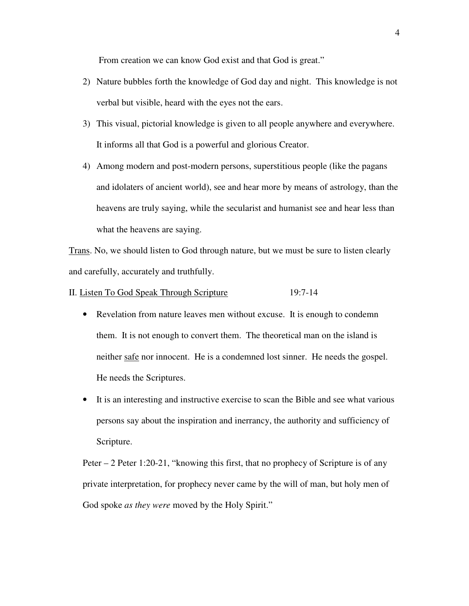From creation we can know God exist and that God is great."

- 2) Nature bubbles forth the knowledge of God day and night. This knowledge is not verbal but visible, heard with the eyes not the ears.
- 3) This visual, pictorial knowledge is given to all people anywhere and everywhere. It informs all that God is a powerful and glorious Creator.
- 4) Among modern and post-modern persons, superstitious people (like the pagans and idolaters of ancient world), see and hear more by means of astrology, than the heavens are truly saying, while the secularist and humanist see and hear less than what the heavens are saying.

Trans. No, we should listen to God through nature, but we must be sure to listen clearly and carefully, accurately and truthfully.

- II. Listen To God Speak Through Scripture 19:7-14
	- Revelation from nature leaves men without excuse. It is enough to condemn them. It is not enough to convert them. The theoretical man on the island is neither safe nor innocent. He is a condemned lost sinner. He needs the gospel. He needs the Scriptures.
	- It is an interesting and instructive exercise to scan the Bible and see what various persons say about the inspiration and inerrancy, the authority and sufficiency of Scripture.

Peter – 2 Peter 1:20-21, "knowing this first, that no prophecy of Scripture is of any private interpretation, for prophecy never came by the will of man, but holy men of God spoke *as they were* moved by the Holy Spirit."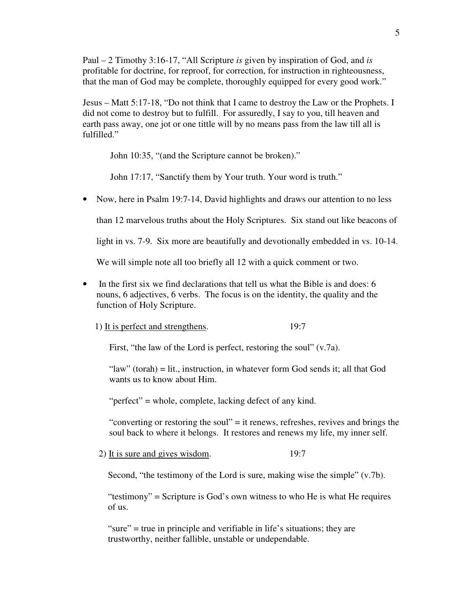Paul – 2 Timothy 3:16-17, "All Scripture *is* given by inspiration of God, and *is* profitable for doctrine, for reproof, for correction, for instruction in righteousness, that the man of God may be complete, thoroughly equipped for every good work."

Jesus – Matt 5:17-18, "Do not think that I came to destroy the Law or the Prophets. I did not come to destroy but to fulfill. For assuredly, I say to you, till heaven and earth pass away, one jot or one tittle will by no means pass from the law till all is fulfilled."

John 10:35, "(and the Scripture cannot be broken)."

John 17:17, "Sanctify them by Your truth. Your word is truth."

• Now, here in Psalm 19:7-14, David highlights and draws our attention to no less

than 12 marvelous truths about the Holy Scriptures. Six stand out like beacons of

light in vs. 7-9. Six more are beautifully and devotionally embedded in vs. 10-14.

We will simple note all too briefly all 12 with a quick comment or two.

• In the first six we find declarations that tell us what the Bible is and does: 6 nouns, 6 adjectives, 6 verbs. The focus is on the identity, the quality and the function of Holy Scripture.

1) It is perfect and strengthens. 19:7

First, "the law of the Lord is perfect, restoring the soul" (v.7a).

"law" (torah) = lit., instruction, in whatever form God sends it; all that God wants us to know about Him.

"perfect" = whole, complete, lacking defect of any kind.

"converting or restoring the soul" = it renews, refreshes, revives and brings the soul back to where it belongs. It restores and renews my life, my inner self.

2) It is sure and gives wisdom. 19:7

Second, "the testimony of the Lord is sure, making wise the simple" (v.7b).

"testimony" = Scripture is God's own witness to who He is what He requires of us.

"sure" = true in principle and verifiable in life's situations; they are trustworthy, neither fallible, unstable or undependable.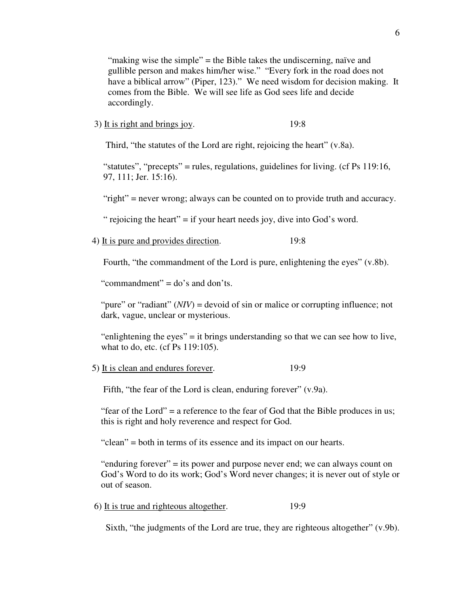"making wise the simple" = the Bible takes the undiscerning, naïve and gullible person and makes him/her wise." "Every fork in the road does not have a biblical arrow" (Piper, 123)." We need wisdom for decision making. It comes from the Bible. We will see life as God sees life and decide accordingly.

3) It is right and brings joy. 19:8

Third, "the statutes of the Lord are right, rejoicing the heart" (v.8a).

"statutes", "precepts" = rules, regulations, guidelines for living. (cf Ps 119:16, 97, 111; Jer. 15:16).

"right" = never wrong; always can be counted on to provide truth and accuracy.

" rejoicing the heart"  $=$  if your heart needs joy, dive into God's word.

4) It is pure and provides direction. 19:8

Fourth, "the commandment of the Lord is pure, enlightening the eyes" (v.8b).

"commandment" = do's and don'ts.

"pure" or "radiant" (*NIV*) = devoid of sin or malice or corrupting influence; not dark, vague, unclear or mysterious.

"enlightening the eyes" = it brings understanding so that we can see how to live, what to do, etc. (cf Ps 119:105).

5) It is clean and endures forever. 19:9

Fifth, "the fear of the Lord is clean, enduring forever" (v.9a).

"fear of the Lord" = a reference to the fear of God that the Bible produces in us; this is right and holy reverence and respect for God.

"clean" = both in terms of its essence and its impact on our hearts.

"enduring forever" = its power and purpose never end; we can always count on God's Word to do its work; God's Word never changes; it is never out of style or out of season.

6) It is true and righteous altogether. 19:9

Sixth, "the judgments of the Lord are true, they are righteous altogether" (v.9b).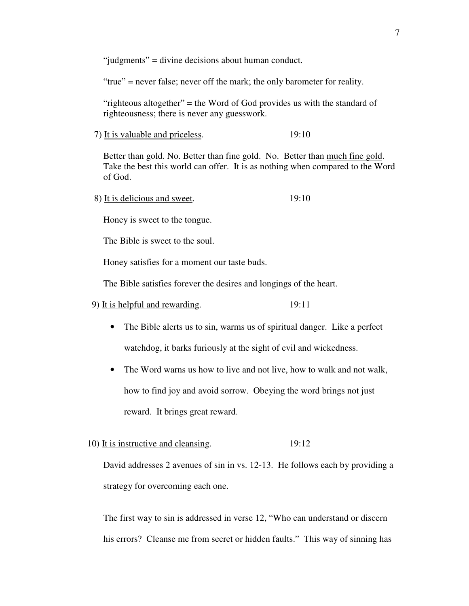"judgments" = divine decisions about human conduct.

"true" = never false; never off the mark; the only barometer for reality.

 "righteous altogether" = the Word of God provides us with the standard of righteousness; there is never any guesswork.

7) It is valuable and priceless. 19:10

 Better than gold. No. Better than fine gold. No. Better than much fine gold. Take the best this world can offer. It is as nothing when compared to the Word of God.

8) It is delicious and sweet. 19:10

Honey is sweet to the tongue.

The Bible is sweet to the soul.

Honey satisfies for a moment our taste buds.

The Bible satisfies forever the desires and longings of the heart.

## 9) It is helpful and rewarding. 19:11

- The Bible alerts us to sin, warms us of spiritual danger. Like a perfect watchdog, it barks furiously at the sight of evil and wickedness.
- The Word warns us how to live and not live, how to walk and not walk, how to find joy and avoid sorrow. Obeying the word brings not just reward. It brings great reward.
- 10) It is instructive and cleansing. 19:12

David addresses 2 avenues of sin in vs. 12-13. He follows each by providing a strategy for overcoming each one.

The first way to sin is addressed in verse 12, "Who can understand or discern his errors? Cleanse me from secret or hidden faults." This way of sinning has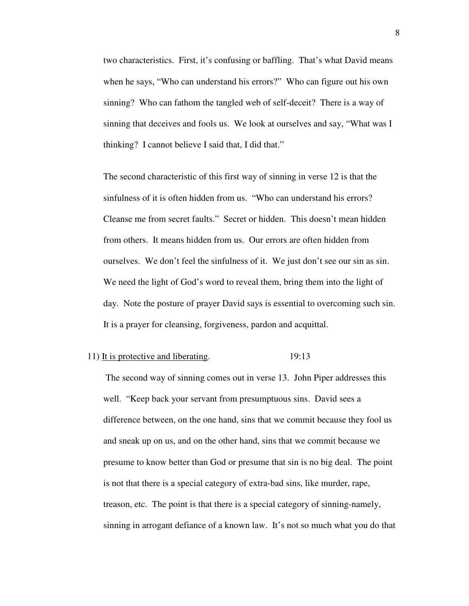two characteristics. First, it's confusing or baffling. That's what David means when he says, "Who can understand his errors?" Who can figure out his own sinning? Who can fathom the tangled web of self-deceit? There is a way of sinning that deceives and fools us. We look at ourselves and say, "What was I thinking? I cannot believe I said that, I did that."

The second characteristic of this first way of sinning in verse 12 is that the sinfulness of it is often hidden from us. "Who can understand his errors? Cleanse me from secret faults." Secret or hidden. This doesn't mean hidden from others. It means hidden from us. Our errors are often hidden from ourselves. We don't feel the sinfulness of it. We just don't see our sin as sin. We need the light of God's word to reveal them, bring them into the light of day. Note the posture of prayer David says is essential to overcoming such sin. It is a prayer for cleansing, forgiveness, pardon and acquittal.

#### 11) It is protective and liberating. 19:13

 The second way of sinning comes out in verse 13. John Piper addresses this well. "Keep back your servant from presumptuous sins. David sees a difference between, on the one hand, sins that we commit because they fool us and sneak up on us, and on the other hand, sins that we commit because we presume to know better than God or presume that sin is no big deal. The point is not that there is a special category of extra-bad sins, like murder, rape, treason, etc. The point is that there is a special category of sinning-namely, sinning in arrogant defiance of a known law. It's not so much what you do that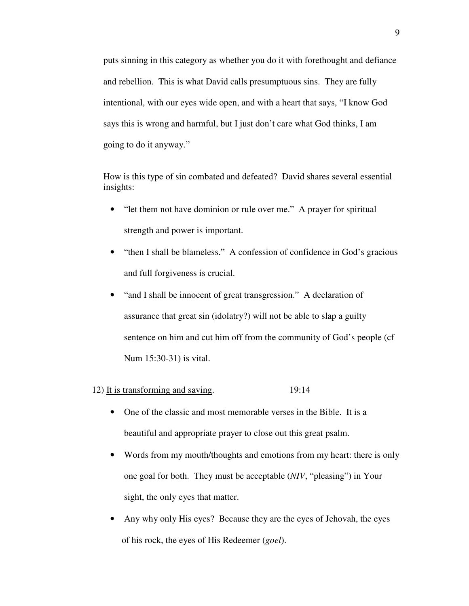puts sinning in this category as whether you do it with forethought and defiance and rebellion. This is what David calls presumptuous sins. They are fully intentional, with our eyes wide open, and with a heart that says, "I know God says this is wrong and harmful, but I just don't care what God thinks, I am going to do it anyway."

 How is this type of sin combated and defeated? David shares several essential insights:

- "let them not have dominion or rule over me." A prayer for spiritual strength and power is important.
- "then I shall be blameless." A confession of confidence in God's gracious and full forgiveness is crucial.
- "and I shall be innocent of great transgression." A declaration of assurance that great sin (idolatry?) will not be able to slap a guilty sentence on him and cut him off from the community of God's people (cf Num 15:30-31) is vital.
- 12) It is transforming and saving. 19:14
	- One of the classic and most memorable verses in the Bible. It is a beautiful and appropriate prayer to close out this great psalm.
	- Words from my mouth/thoughts and emotions from my heart: there is only one goal for both. They must be acceptable (*NIV*, "pleasing") in Your sight, the only eyes that matter.
	- Any why only His eyes? Because they are the eyes of Jehovah, the eyes of his rock, the eyes of His Redeemer (*goel*).